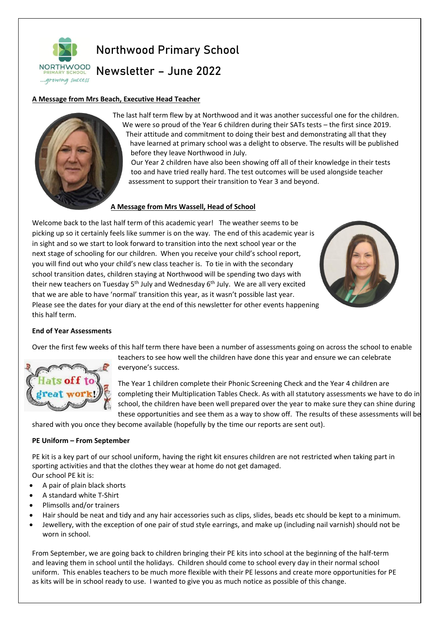

# Northwood Primary School

Newsletter – June 2022

## **A Message from Mrs Beach, Executive Head Teacher**

The last half term flew by at Northwood and it was another successful one for the children. We were so proud of the Year 6 children during their SATs tests – the first since 2019. Their attitude and commitment to doing their best and demonstrating all that they have learned at primary school was a delight to observe. The results will be published

before they leave Northwood in July. Our Year 2 children have also been showing off all of their knowledge in their tests

too and have tried really hard. The test outcomes will be used alongside teacher assessment to support their transition to Year 3 and beyond.

## **A Message from Mrs Wassell, Head of School**

Welcome back to the last half term of this academic year! The weather seems to be picking up so it certainly feels like summer is on the way. The end of this academic year is in sight and so we start to look forward to transition into the next school year or the next stage of schooling for our children. When you receive your child's school report, you will find out who your child's new class teacher is. To tie in with the secondary school transition dates, children staying at Northwood will be spending two days with their new teachers on Tuesday 5<sup>th</sup> July and Wednesday 6<sup>th</sup> July. We are all very excited that we are able to have 'normal' transition this year, as it wasn't possible last year. Please see the dates for your diary at the end of this newsletter for other events happening this half term.



### **End of Year Assessments**

Over the first few weeks of this half term there have been a number of assessments going on across the school to enable



everyone's success.

The Year 1 children complete their Phonic Screening Check and the Year 4 children are completing their Multiplication Tables Check. As with all statutory assessments we have to do in school, the children have been well prepared over the year to make sure they can shine during these opportunities and see them as a way to show off. The results of these assessments will be

teachers to see how well the children have done this year and ensure we can celebrate

shared with you once they become available (hopefully by the time our reports are sent out).

### **PE Uniform – From September**

PE kit is a key part of our school uniform, having the right kit ensures children are not restricted when taking part in sporting activities and that the clothes they wear at home do not get damaged. Our school PE kit is:

- A pair of plain black shorts
- A standard white T-Shirt
- Plimsolls and/or trainers
- Hair should be neat and tidy and any hair accessories such as clips, slides, beads etc should be kept to a minimum.
- Jewellery, with the exception of one pair of stud style earrings, and make up (including nail varnish) should not be worn in school.

From September, we are going back to children bringing their PE kits into school at the beginning of the half-term and leaving them in school until the holidays. Children should come to school every day in their normal school uniform. This enables teachers to be much more flexible with their PE lessons and create more opportunities for PE as kits will be in school ready to use. I wanted to give you as much notice as possible of this change.